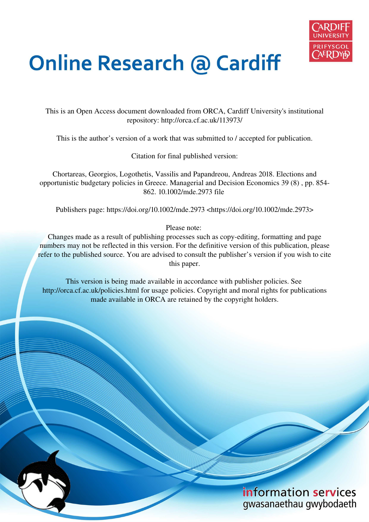

# **Online Research @ Cardiff**

This is an Open Access document downloaded from ORCA, Cardiff University's institutional repository: http://orca.cf.ac.uk/113973/

This is the author's version of a work that was submitted to / accepted for publication.

Citation for final published version:

Chortareas, Georgios, Logothetis, Vassilis and Papandreou, Andreas 2018. Elections and opportunistic budgetary policies in Greece. Managerial and Decision Economics 39 (8) , pp. 854- 862. 10.1002/mde.2973 file

Publishers page: https://doi.org/10.1002/mde.2973 <https://doi.org/10.1002/mde.2973>

Please note:

Changes made as a result of publishing processes such as copy-editing, formatting and page numbers may not be reflected in this version. For the definitive version of this publication, please refer to the published source. You are advised to consult the publisher's version if you wish to cite this paper.

This version is being made available in accordance with publisher policies. See http://orca.cf.ac.uk/policies.html for usage policies. Copyright and moral rights for publications made available in ORCA are retained by the copyright holders.

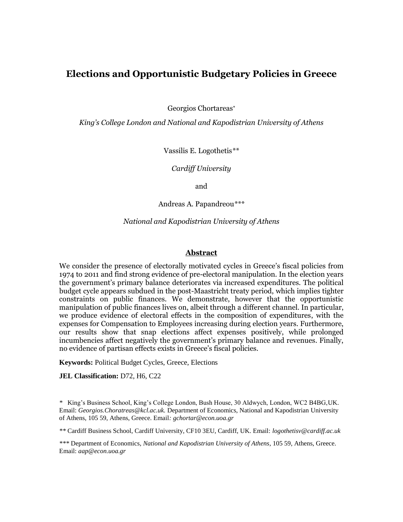# **Elections and Opportunistic Budgetary Policies in Greece**

Georgios Chortareas

*King's College London and National and Kapodistrian University of Athens* 

Vassilis E. Logothetis*\*\**

*Cardiff University* 

and

Andreas A. Papandreou*\*\*\**

*National and Kapodistrian University of Athens* 

#### **Abstract**

We consider the presence of electorally motivated cycles in Greece's fiscal policies from 1974 to 2011 and find strong evidence of pre-electoral manipulation. In the election years the government's primary balance deteriorates via increased expenditures. The political budget cycle appears subdued in the post-Maastricht treaty period, which implies tighter constraints on public finances. We demonstrate, however that the opportunistic manipulation of public finances lives on, albeit through a different channel. In particular, we produce evidence of electoral effects in the composition of expenditures, with the expenses for Compensation to Employees increasing during election years. Furthermore, our results show that snap elections affect expenses positively, while prolonged incumbencies affect negatively the government's primary balance and revenues. Finally, no evidence of partisan effects exists in Greece's fiscal policies.

**Keywords:** Political Budget Cycles, Greece, Elections

**JEL Classification:** D72, H6, C22

*<sup>\*</sup>* King's Business School, King's College London, Bush House, 30 Aldwych, London, WC2 B4BG,UK. Email: *Georgios.Choratreas@kcl.ac.uk.* Department of Economics, National and Kapodistrian University of Athens, 105 59, Athens, Greece. Email*: gchortar@econ.uoa.gr* 

*<sup>\*\*</sup>* Cardiff Business School, Cardiff University, CF10 3EU, Cardiff, UK. Email: *logothetisv@cardiff.ac.uk*

*<sup>\*\*\*</sup>* Department of Economics, *National and Kapodistrian University of Athens*, 105 59, Athens, Greece. Email: *aap@econ.uoa.gr*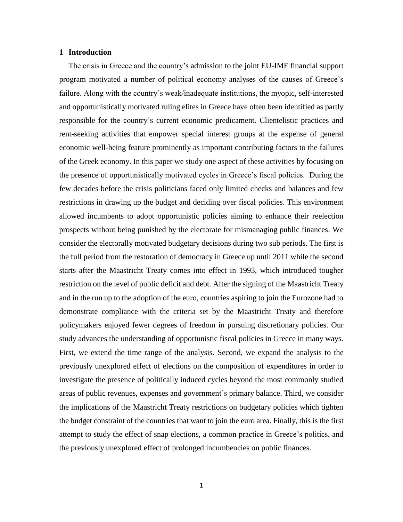#### **1 Introduction**

The crisis in Greece and the country's admission to the joint EU-IMF financial support program motivated a number of political economy analyses of the causes of Greece's failure. Along with the country's weak/inadequate institutions, the myopic, self-interested and opportunistically motivated ruling elites in Greece have often been identified as partly responsible for the country's current economic predicament. Clientelistic practices and rent-seeking activities that empower special interest groups at the expense of general economic well-being feature prominently as important contributing factors to the failures of the Greek economy. In this paper we study one aspect of these activities by focusing on the presence of opportunistically motivated cycles in Greece's fiscal policies. During the few decades before the crisis politicians faced only limited checks and balances and few restrictions in drawing up the budget and deciding over fiscal policies. This environment allowed incumbents to adopt opportunistic policies aiming to enhance their reelection prospects without being punished by the electorate for mismanaging public finances. We consider the electorally motivated budgetary decisions during two sub periods. The first is the full period from the restoration of democracy in Greece up until 2011 while the second starts after the Maastricht Treaty comes into effect in 1993, which introduced tougher restriction on the level of public deficit and debt. After the signing of the Maastricht Treaty and in the run up to the adoption of the euro, countries aspiring to join the Eurozone had to demonstrate compliance with the criteria set by the Maastricht Treaty and therefore policymakers enjoyed fewer degrees of freedom in pursuing discretionary policies. Our study advances the understanding of opportunistic fiscal policies in Greece in many ways. First, we extend the time range of the analysis. Second, we expand the analysis to the previously unexplored effect of elections on the composition of expenditures in order to investigate the presence of politically induced cycles beyond the most commonly studied areas of public revenues, expenses and government's primary balance. Third, we consider the implications of the Maastricht Treaty restrictions on budgetary policies which tighten the budget constraint of the countries that want to join the euro area. Finally, this is the first attempt to study the effect of snap elections, a common practice in Greece's politics, and the previously unexplored effect of prolonged incumbencies on public finances.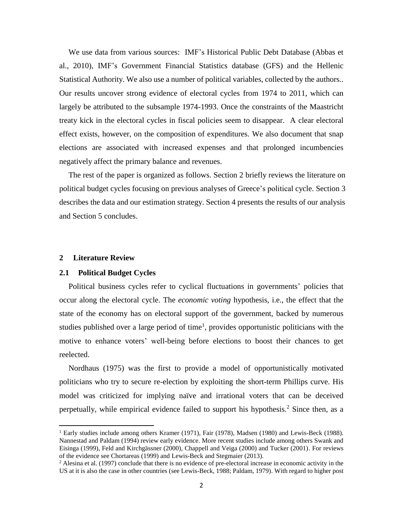We use data from various sources: IMF's Historical Public Debt Database (Abbas et al., 2010), IMF's Government Financial Statistics database (GFS) and the Hellenic Statistical Authority. We also use a number of political variables, collected by the authors.. Our results uncover strong evidence of electoral cycles from 1974 to 2011, which can largely be attributed to the subsample 1974-1993. Once the constraints of the Maastricht treaty kick in the electoral cycles in fiscal policies seem to disappear. A clear electoral effect exists, however, on the composition of expenditures. We also document that snap elections are associated with increased expenses and that prolonged incumbencies negatively affect the primary balance and revenues.

The rest of the paper is organized as follows. Section 2 briefly reviews the literature on political budget cycles focusing on previous analyses of Greece's political cycle. Section 3 describes the data and our estimation strategy. Section 4 presents the results of our analysis and Section 5 concludes.

#### **2 Literature Review**

l

#### **2.1 Political Budget Cycles**

Political business cycles refer to cyclical fluctuations in governments' policies that occur along the electoral cycle. The *economic voting* hypothesis, i.e., the effect that the state of the economy has on electoral support of the government, backed by numerous studies published over a large period of time<sup>1</sup>, provides opportunistic politicians with the motive to enhance voters' well-being before elections to boost their chances to get reelected.

Nordhaus (1975) was the first to provide a model of opportunistically motivated politicians who try to secure re-election by exploiting the short-term Phillips curve. His model was criticized for implying naïve and irrational voters that can be deceived perpetually, while empirical evidence failed to support his hypothesis.<sup>2</sup> Since then, as a

<sup>&</sup>lt;sup>1</sup> Early studies include among others Kramer (1971), Fair (1978), Madsen (1980) and Lewis-Beck (1988). Nannestad and Paldam (1994) review early evidence. More recent studies include among others Swank and Eisinga (1999), Feld and Kirchgässner (2000), Chappell and Veiga (2000) and Tucker (2001). For reviews of the evidence see Chortareas (1999) and Lewis-Beck and Stegmaier (2013).

 $<sup>2</sup>$  Alesina et al. (1997) conclude that there is no evidence of pre-electoral increase in economic activity in the</sup> US at it is also the case in other countries (see Lewis-Beck, 1988; Paldam, 1979). With regard to higher post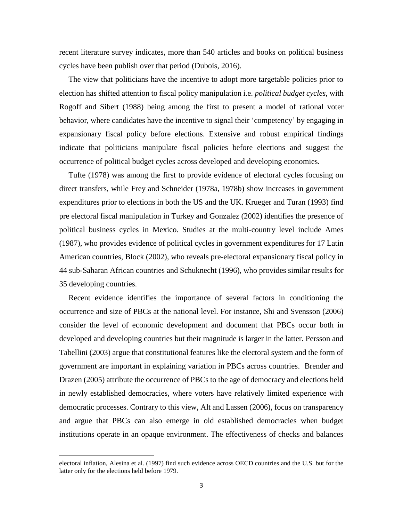recent literature survey indicates, more than 540 articles and books on political business cycles have been publish over that period (Dubois, 2016).

The view that politicians have the incentive to adopt more targetable policies prior to election has shifted attention to fiscal policy manipulation i.e. *political budget cycles*, with Rogoff and Sibert (1988) being among the first to present a model of rational voter behavior, where candidates have the incentive to signal their 'competency' by engaging in expansionary fiscal policy before elections. Extensive and robust empirical findings indicate that politicians manipulate fiscal policies before elections and suggest the occurrence of political budget cycles across developed and developing economies.

Tufte (1978) was among the first to provide evidence of electoral cycles focusing on direct transfers, while Frey and Schneider (1978a, 1978b) show increases in government expenditures prior to elections in both the US and the UK. Krueger and Turan (1993) find pre electoral fiscal manipulation in Turkey and Gonzalez (2002) identifies the presence of political business cycles in Mexico. Studies at the multi-country level include Ames (1987), who provides evidence of political cycles in government expenditures for 17 Latin American countries, Block (2002), who reveals pre-electoral expansionary fiscal policy in 44 sub-Saharan African countries and Schuknecht (1996), who provides similar results for 35 developing countries.

Recent evidence identifies the importance of several factors in conditioning the occurrence and size of PBCs at the national level. For instance, Shi and Svensson (2006) consider the level of economic development and document that PBCs occur both in developed and developing countries but their magnitude is larger in the latter. Persson and Tabellini (2003) argue that constitutional features like the electoral system and the form of government are important in explaining variation in PBCs across countries. Brender and Drazen (2005) attribute the occurrence of PBCs to the age of democracy and elections held in newly established democracies, where voters have relatively limited experience with democratic processes. Contrary to this view, Alt and Lassen (2006), focus on transparency and argue that PBCs can also emerge in old established democracies when budget institutions operate in an opaque environment. The effectiveness of checks and balances

 $\overline{a}$ 

electoral inflation, Alesina et al. (1997) find such evidence across OECD countries and the U.S. but for the latter only for the elections held before 1979.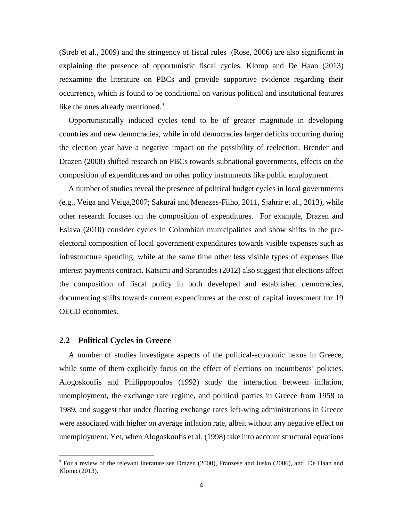(Streb et al., 2009) and the stringency of fiscal rules (Rose, 2006) are also significant in explaining the presence of opportunistic fiscal cycles. Klomp and De Haan (2013) reexamine the literature on PBCs and provide supportive evidence regarding their occurrence, which is found to be conditional on various political and institutional features like the ones already mentioned. $3$ 

Opportunistically induced cycles tend to be of greater magnitude in developing countries and new democracies, while in old democracies larger deficits occurring during the election year have a negative impact on the possibility of reelection. Brender and Drazen (2008) shifted research on PBCs towards subnational governments, effects on the composition of expenditures and on other policy instruments like public employment.

A number of studies reveal the presence of political budget cycles in local governments (e.g., Veiga and Veiga,2007; Sakurai and Menezes-Filho, 2011, Sjahrir et al., 2013), while other research focuses on the composition of expenditures. For example, Drazen and Eslava (2010) consider cycles in Colombian municipalities and show shifts in the preelectoral composition of local government expenditures towards visible expenses such as infrastructure spending, while at the same time other less visible types of expenses like interest payments contract. Katsimi and Sarantides (2012) also suggest that elections affect the composition of fiscal policy in both developed and established democracies, documenting shifts towards current expenditures at the cost of capital investment for 19 OECD economies.

## **2.2 Political Cycles in Greece**

 $\overline{a}$ 

A number of studies investigate aspects of the political-economic nexus in Greece, while some of them explicitly focus on the effect of elections on incumbents' policies. Alogoskoufis and Philippopoulos (1992) study the interaction between inflation, unemployment, the exchange rate regime, and political parties in Greece from 1958 to 1989, and suggest that under floating exchange rates left-wing administrations in Greece were associated with higher on average inflation rate, albeit without any negative effect on unemployment. Yet, when Alogoskoufis et al. (1998) take into account structural equations

<sup>&</sup>lt;sup>3</sup> For a review of the relevant literature see Drazen (2000), Franzese and Jusko (2006), and De Haan and Klomp (2013).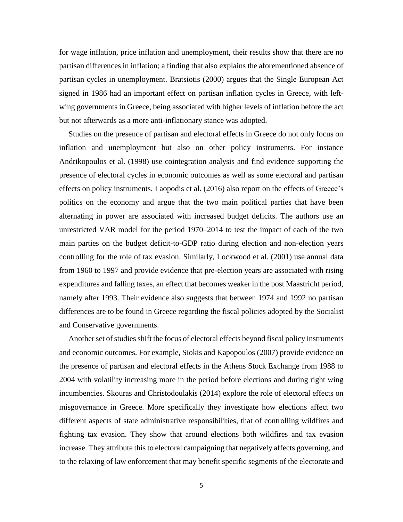for wage inflation, price inflation and unemployment, their results show that there are no partisan differences in inflation; a finding that also explains the aforementioned absence of partisan cycles in unemployment. Bratsiotis (2000) argues that the Single European Act signed in 1986 had an important effect on partisan inflation cycles in Greece, with leftwing governments in Greece, being associated with higher levels of inflation before the act but not afterwards as a more anti-inflationary stance was adopted.

Studies on the presence of partisan and electoral effects in Greece do not only focus on inflation and unemployment but also on other policy instruments. For instance Andrikopoulos et al. (1998) use cointegration analysis and find evidence supporting the presence of electoral cycles in economic outcomes as well as some electoral and partisan effects on policy instruments. Laopodis et al. (2016) also report on the effects of Greece's politics on the economy and argue that the two main political parties that have been alternating in power are associated with increased budget deficits. The authors use an unrestricted VAR model for the period 1970–2014 to test the impact of each of the two main parties on the budget deficit-to-GDP ratio during election and non-election years controlling for the role of tax evasion. Similarly, Lockwood et al. (2001) use annual data from 1960 to 1997 and provide evidence that pre-election years are associated with rising expenditures and falling taxes, an effect that becomes weaker in the post Maastricht period, namely after 1993. Their evidence also suggests that between 1974 and 1992 no partisan differences are to be found in Greece regarding the fiscal policies adopted by the Socialist and Conservative governments.

Another set of studies shift the focus of electoral effects beyond fiscal policy instruments and economic outcomes. For example, Siokis and Kapopoulos (2007) provide evidence on the presence of partisan and electoral effects in the Athens Stock Exchange from 1988 to 2004 with volatility increasing more in the period before elections and during right wing incumbencies. Skouras and Christodoulakis (2014) explore the role of electoral effects on misgovernance in Greece. More specifically they investigate how elections affect two different aspects of state administrative responsibilities, that of controlling wildfires and fighting tax evasion. They show that around elections both wildfires and tax evasion increase. They attribute this to electoral campaigning that negatively affects governing, and to the relaxing of law enforcement that may benefit specific segments of the electorate and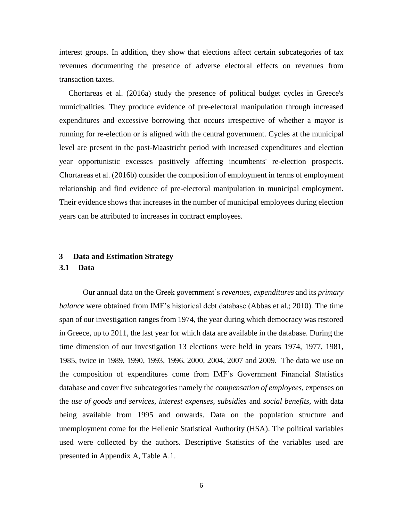interest groups. In addition, they show that elections affect certain subcategories of tax revenues documenting the presence of adverse electoral effects on revenues from transaction taxes.

Chortareas et al. (2016a) study the presence of political budget cycles in Greece's municipalities. They produce evidence of pre-electoral manipulation through increased expenditures and excessive borrowing that occurs irrespective of whether a mayor is running for re-election or is aligned with the central government. Cycles at the municipal level are present in the post-Maastricht period with increased expenditures and election year opportunistic excesses positively affecting incumbents' re-election prospects. Chortareas et al. (2016b) consider the composition of employment in terms of employment relationship and find evidence of pre-electoral manipulation in municipal employment. Their evidence shows that increases in the number of municipal employees during election years can be attributed to increases in contract employees.

#### **3 Data and Estimation Strategy**

#### **3.1 Data**

Our annual data on the Greek government's *revenues*, *expenditures* and its *primary balance* were obtained from IMF's historical debt database (Abbas et al.; 2010). The time span of our investigation ranges from 1974, the year during which democracy was restored in Greece, up to 2011, the last year for which data are available in the database. During the time dimension of our investigation 13 elections were held in years 1974, 1977, 1981, 1985, twice in 1989, 1990, 1993, 1996, 2000, 2004, 2007 and 2009. The data we use on the composition of expenditures come from IMF's Government Financial Statistics database and cover five subcategories namely the *compensation of employees,* expenses on the *use of goods and services, interest expenses, subsidies* and *social benefits,* with data being available from 1995 and onwards. Data on the population structure and unemployment come for the Hellenic Statistical Authority (HSA). The political variables used were collected by the authors. Descriptive Statistics of the variables used are presented in Appendix A, Table A.1.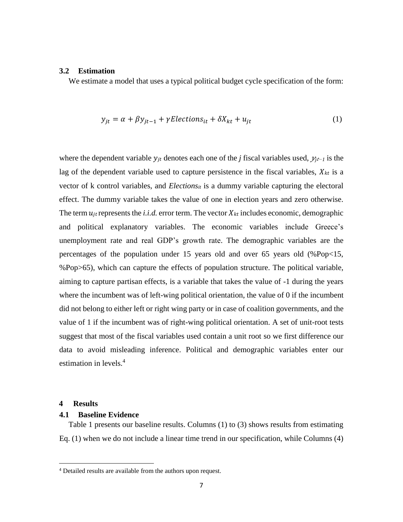#### **3.2 Estimation**

We estimate a model that uses a typical political budget cycle specification of the form:

$$
y_{jt} = \alpha + \beta y_{jt-1} + \gamma \text{Elections}_{it} + \delta X_{kt} + u_{jt} \tag{1}
$$

where the dependent variable  $y_{jt}$  denotes each one of the *j* fiscal variables used,  $y_{jt-1}$  is the lag of the dependent variable used to capture persistence in the fiscal variables,  $X_{kt}$  is a vector of k control variables, and *Elections<sub>it</sub>* is a dummy variable capturing the electoral effect. The dummy variable takes the value of one in election years and zero otherwise. The term  $u_{it}$  represents the *i.i.d.* error term. The vector  $X_{kt}$  includes economic, demographic and political explanatory variables. The economic variables include Greece's unemployment rate and real GDP's growth rate. The demographic variables are the percentages of the population under 15 years old and over 65 years old (%Pop<15, %Pop>65), which can capture the effects of population structure. The political variable, aiming to capture partisan effects, is a variable that takes the value of -1 during the years where the incumbent was of left-wing political orientation, the value of 0 if the incumbent did not belong to either left or right wing party or in case of coalition governments, and the value of 1 if the incumbent was of right-wing political orientation. A set of unit-root tests suggest that most of the fiscal variables used contain a unit root so we first difference our data to avoid misleading inference. Political and demographic variables enter our estimation in levels.<sup>4</sup>

#### **4 Results**

l

#### **4.1 Baseline Evidence**

Table 1 presents our baseline results. Columns (1) to (3) shows results from estimating Eq. (1) when we do not include a linear time trend in our specification, while Columns (4)

<sup>4</sup> Detailed results are available from the authors upon request.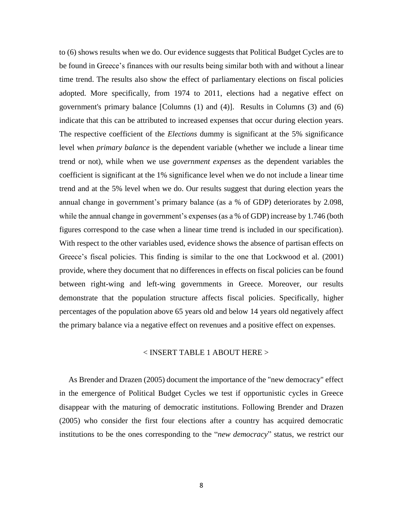to (6) shows results when we do. Our evidence suggests that Political Budget Cycles are to be found in Greece's finances with our results being similar both with and without a linear time trend. The results also show the effect of parliamentary elections on fiscal policies adopted. More specifically, from 1974 to 2011, elections had a negative effect on government's primary balance [Columns (1) and (4)]. Results in Columns (3) and (6) indicate that this can be attributed to increased expenses that occur during election years. The respective coefficient of the *Elections* dummy is significant at the 5% significance level when *primary balance* is the dependent variable (whether we include a linear time trend or not), while when we use *government expenses* as the dependent variables the coefficient is significant at the 1% significance level when we do not include a linear time trend and at the 5% level when we do. Our results suggest that during election years the annual change in government's primary balance (as a % of GDP) deteriorates by 2.098, while the annual change in government's expenses (as a % of GDP) increase by 1.746 (both figures correspond to the case when a linear time trend is included in our specification). With respect to the other variables used, evidence shows the absence of partisan effects on Greece's fiscal policies. This finding is similar to the one that Lockwood et al. (2001) provide, where they document that no differences in effects on fiscal policies can be found between right-wing and left-wing governments in Greece. Moreover, our results demonstrate that the population structure affects fiscal policies. Specifically, higher percentages of the population above 65 years old and below 14 years old negatively affect the primary balance via a negative effect on revenues and a positive effect on expenses.

### < INSERT TABLE 1 ABOUT HERE >

As Brender and Drazen (2005) document the importance of the "new democracy" effect in the emergence of Political Budget Cycles we test if opportunistic cycles in Greece disappear with the maturing of democratic institutions. Following Brender and Drazen (2005) who consider the first four elections after a country has acquired democratic institutions to be the ones corresponding to the "*new democracy*" status, we restrict our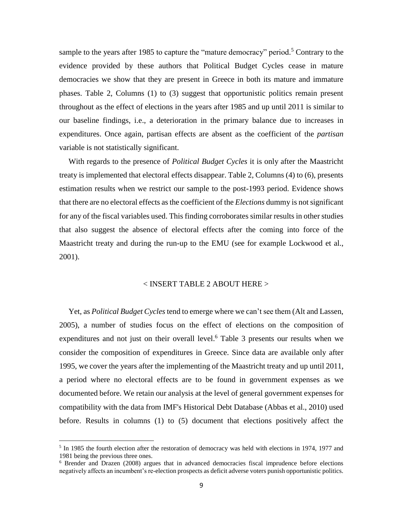sample to the years after 1985 to capture the "mature democracy" period.<sup>5</sup> Contrary to the evidence provided by these authors that Political Budget Cycles cease in mature democracies we show that they are present in Greece in both its mature and immature phases. Table 2, Columns (1) to (3) suggest that opportunistic politics remain present throughout as the effect of elections in the years after 1985 and up until 2011 is similar to our baseline findings, i.e., a deterioration in the primary balance due to increases in expenditures. Once again, partisan effects are absent as the coefficient of the *partisan*  variable is not statistically significant.

With regards to the presence of *Political Budget Cycles* it is only after the Maastricht treaty is implemented that electoral effects disappear. Table 2, Columns (4) to (6), presents estimation results when we restrict our sample to the post-1993 period. Evidence shows that there are no electoral effects as the coefficient of the *Elections* dummy is not significant for any of the fiscal variables used. This finding corroborates similar results in other studies that also suggest the absence of electoral effects after the coming into force of the Maastricht treaty and during the run-up to the EMU (see for example Lockwood et al., 2001).

#### < INSERT TABLE 2 ABOUT HERE >

Yet, as *Political Budget Cycles* tend to emerge where we can't see them (Alt and Lassen, 2005), a number of studies focus on the effect of elections on the composition of expenditures and not just on their overall level.<sup>6</sup> Table 3 presents our results when we consider the composition of expenditures in Greece. Since data are available only after 1995, we cover the years after the implementing of the Maastricht treaty and up until 2011, a period where no electoral effects are to be found in government expenses as we documented before. We retain our analysis at the level of general government expenses for compatibility with the data from IMF's Historical Debt Database (Abbas et al., 2010) used before. Results in columns (1) to (5) document that elections positively affect the

 $\overline{a}$ 

<sup>&</sup>lt;sup>5</sup> In 1985 the fourth election after the restoration of democracy was held with elections in 1974, 1977 and 1981 being the previous three ones.

<sup>&</sup>lt;sup>6</sup> Brender and Drazen (2008) argues that in advanced democracies fiscal imprudence before elections negatively affects an incumbent's re-election prospects as deficit adverse voters punish opportunistic politics.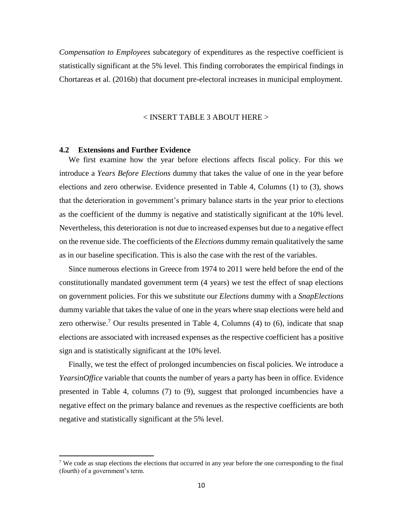*Compensation to Employees* subcategory of expenditures as the respective coefficient is statistically significant at the 5% level. This finding corroborates the empirical findings in Chortareas et al. (2016b) that document pre-electoral increases in municipal employment.

#### < INSERT TABLE 3 ABOUT HERE >

#### **4.2 Extensions and Further Evidence**

 $\overline{a}$ 

We first examine how the year before elections affects fiscal policy. For this we introduce a *Years Before Elections* dummy that takes the value of one in the year before elections and zero otherwise. Evidence presented in Table 4, Columns (1) to (3), shows that the deterioration in government's primary balance starts in the year prior to elections as the coefficient of the dummy is negative and statistically significant at the 10% level. Nevertheless, this deterioration is not due to increased expenses but due to a negative effect on the revenue side. The coefficients of the *Elections* dummy remain qualitatively the same as in our baseline specification. This is also the case with the rest of the variables.

Since numerous elections in Greece from 1974 to 2011 were held before the end of the constitutionally mandated government term (4 years) we test the effect of snap elections on government policies. For this we substitute our *Elections* dummy with a *SnapElections*  dummy variable that takes the value of one in the years where snap elections were held and zero otherwise.<sup>7</sup> Our results presented in Table 4, Columns (4) to (6), indicate that snap elections are associated with increased expenses as the respective coefficient has a positive sign and is statistically significant at the 10% level.

Finally, we test the effect of prolonged incumbencies on fiscal policies. We introduce a *YearsinOffice* variable that counts the number of years a party has been in office. Evidence presented in Table 4, columns (7) to (9), suggest that prolonged incumbencies have a negative effect on the primary balance and revenues as the respective coefficients are both negative and statistically significant at the 5% level.

<sup>&</sup>lt;sup>7</sup> We code as snap elections the elections that occurred in any year before the one corresponding to the final (fourth) of a government's term.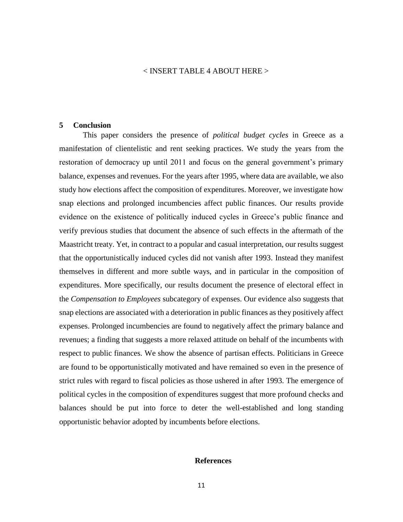#### < INSERT TABLE 4 ABOUT HERE >

#### **5 Conclusion**

This paper considers the presence of *political budget cycles* in Greece as a manifestation of clientelistic and rent seeking practices. We study the years from the restoration of democracy up until 2011 and focus on the general government's primary balance, expenses and revenues. For the years after 1995, where data are available, we also study how elections affect the composition of expenditures. Moreover, we investigate how snap elections and prolonged incumbencies affect public finances. Our results provide evidence on the existence of politically induced cycles in Greece's public finance and verify previous studies that document the absence of such effects in the aftermath of the Maastricht treaty. Yet, in contract to a popular and casual interpretation, our results suggest that the opportunistically induced cycles did not vanish after 1993. Instead they manifest themselves in different and more subtle ways, and in particular in the composition of expenditures. More specifically, our results document the presence of electoral effect in the *Compensation to Employees* subcategory of expenses. Our evidence also suggests that snap elections are associated with a deterioration in public finances as they positively affect expenses. Prolonged incumbencies are found to negatively affect the primary balance and revenues; a finding that suggests a more relaxed attitude on behalf of the incumbents with respect to public finances. We show the absence of partisan effects. Politicians in Greece are found to be opportunistically motivated and have remained so even in the presence of strict rules with regard to fiscal policies as those ushered in after 1993. The emergence of political cycles in the composition of expenditures suggest that more profound checks and balances should be put into force to deter the well-established and long standing opportunistic behavior adopted by incumbents before elections.

#### **References**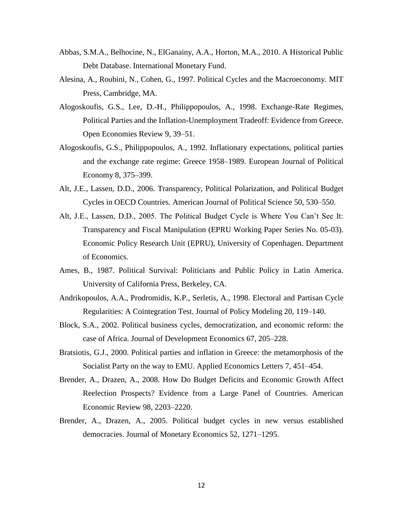- Abbas, S.M.A., Belhocine, N., ElGanainy, A.A., Horton, M.A., 2010. A Historical Public Debt Database. International Monetary Fund.
- Alesina, A., Roubini, N., Cohen, G., 1997. Political Cycles and the Macroeconomy. MIT Press, Cambridge, MA.
- Alogoskoufis, G.S., Lee, D.-H., Philippopoulos, A., 1998. Exchange-Rate Regimes, Political Parties and the Inflation-Unemployment Tradeoff: Evidence from Greece. Open Economies Review 9, 39–51.
- Alogoskoufis, G.S., Philippopoulos, A., 1992. Inflationary expectations, political parties and the exchange rate regime: Greece 1958–1989. European Journal of Political Economy 8, 375–399.
- Alt, J.E., Lassen, D.D., 2006. Transparency, Political Polarization, and Political Budget Cycles in OECD Countries. American Journal of Political Science 50, 530–550.
- Alt, J.E., Lassen, D.D., 2005. The Political Budget Cycle is Where You Can't See It: Transparency and Fiscal Manipulation (EPRU Working Paper Series No. 05-03). Economic Policy Research Unit (EPRU), University of Copenhagen. Department of Economics.
- Ames, B., 1987. Political Survival: Politicians and Public Policy in Latin America. University of California Press, Berkeley, CA.
- Andrikopoulos, A.A., Prodromidis, K.P., Serletis, A., 1998. Electoral and Partisan Cycle Regularities: A Cointegration Test. Journal of Policy Modeling 20, 119–140.
- Block, S.A., 2002. Political business cycles, democratization, and economic reform: the case of Africa. Journal of Development Economics 67, 205–228.
- Bratsiotis, G.J., 2000. Political parties and inflation in Greece: the metamorphosis of the Socialist Party on the way to EMU. Applied Economics Letters 7, 451–454.
- Brender, A., Drazen, A., 2008. How Do Budget Deficits and Economic Growth Affect Reelection Prospects? Evidence from a Large Panel of Countries. American Economic Review 98, 2203–2220.
- Brender, A., Drazen, A., 2005. Political budget cycles in new versus established democracies. Journal of Monetary Economics 52, 1271–1295.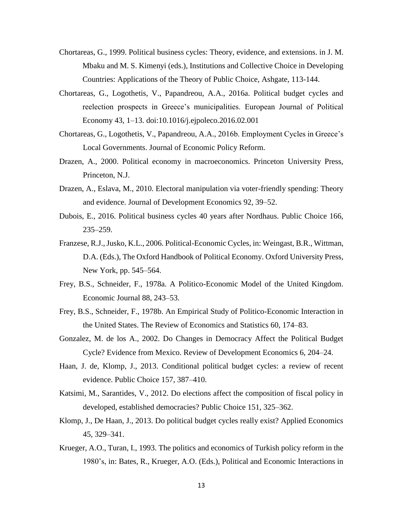- Chortareas, G., 1999. Political business cycles: Theory, evidence, and extensions. in J. M. Mbaku and M. S. Kimenyi (eds.), Institutions and Collective Choice in Developing Countries: Applications of the Theory of Public Choice, Ashgate, 113-144.
- Chortareas, G., Logothetis, V., Papandreou, A.A., 2016a. Political budget cycles and reelection prospects in Greece's municipalities. European Journal of Political Economy 43, 1–13. doi:10.1016/j.ejpoleco.2016.02.001
- Chortareas, G., Logothetis, V., Papandreou, A.A., 2016b. Employment Cycles in Greece's Local Governments. Journal of Economic Policy Reform.
- Drazen, A., 2000. Political economy in macroeconomics. Princeton University Press, Princeton, N.J.
- Drazen, A., Eslava, M., 2010. Electoral manipulation via voter-friendly spending: Theory and evidence. Journal of Development Economics 92, 39–52.
- Dubois, E., 2016. Political business cycles 40 years after Nordhaus. Public Choice 166, 235–259.
- Franzese, R.J., Jusko, K.L., 2006. Political-Economic Cycles, in: Weingast, B.R., Wittman, D.A. (Eds.), The Oxford Handbook of Political Economy. Oxford University Press, New York, pp. 545–564.
- Frey, B.S., Schneider, F., 1978a. A Politico-Economic Model of the United Kingdom. Economic Journal 88, 243–53.
- Frey, B.S., Schneider, F., 1978b. An Empirical Study of Politico-Economic Interaction in the United States. The Review of Economics and Statistics 60, 174–83.
- Gonzalez, M. de los A., 2002. Do Changes in Democracy Affect the Political Budget Cycle? Evidence from Mexico. Review of Development Economics 6, 204–24.
- Haan, J. de, Klomp, J., 2013. Conditional political budget cycles: a review of recent evidence. Public Choice 157, 387–410.
- Katsimi, M., Sarantides, V., 2012. Do elections affect the composition of fiscal policy in developed, established democracies? Public Choice 151, 325–362.
- Klomp, J., De Haan, J., 2013. Do political budget cycles really exist? Applied Economics 45, 329–341.
- Krueger, A.O., Turan, I., 1993. The politics and economics of Turkish policy reform in the 1980's, in: Bates, R., Krueger, A.O. (Eds.), Political and Economic Interactions in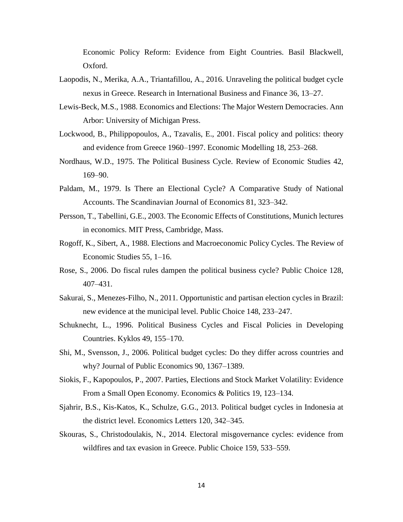Economic Policy Reform: Evidence from Eight Countries. Basil Blackwell, Oxford.

- Laopodis, N., Merika, A.A., Triantafillou, A., 2016. Unraveling the political budget cycle nexus in Greece. Research in International Business and Finance 36, 13–27.
- Lewis-Beck, M.S., 1988. Economics and Elections: The Major Western Democracies. Ann Arbor: University of Michigan Press.
- Lockwood, B., Philippopoulos, A., Tzavalis, E., 2001. Fiscal policy and politics: theory and evidence from Greece 1960–1997. Economic Modelling 18, 253–268.
- Nordhaus, W.D., 1975. The Political Business Cycle. Review of Economic Studies 42, 169–90.
- Paldam, M., 1979. Is There an Electional Cycle? A Comparative Study of National Accounts. The Scandinavian Journal of Economics 81, 323–342.
- Persson, T., Tabellini, G.E., 2003. The Economic Effects of Constitutions, Munich lectures in economics. MIT Press, Cambridge, Mass.
- Rogoff, K., Sibert, A., 1988. Elections and Macroeconomic Policy Cycles. The Review of Economic Studies 55, 1–16.
- Rose, S., 2006. Do fiscal rules dampen the political business cycle? Public Choice 128, 407–431.
- Sakurai, S., Menezes-Filho, N., 2011. Opportunistic and partisan election cycles in Brazil: new evidence at the municipal level. Public Choice 148, 233–247.
- Schuknecht, L., 1996. Political Business Cycles and Fiscal Policies in Developing Countries. Kyklos 49, 155–170.
- Shi, M., Svensson, J., 2006. Political budget cycles: Do they differ across countries and why? Journal of Public Economics 90, 1367–1389.
- Siokis, F., Kapopoulos, P., 2007. Parties, Elections and Stock Market Volatility: Evidence From a Small Open Economy. Economics & Politics 19, 123–134.
- Sjahrir, B.S., Kis-Katos, K., Schulze, G.G., 2013. Political budget cycles in Indonesia at the district level. Economics Letters 120, 342–345.
- Skouras, S., Christodoulakis, N., 2014. Electoral misgovernance cycles: evidence from wildfires and tax evasion in Greece. Public Choice 159, 533–559.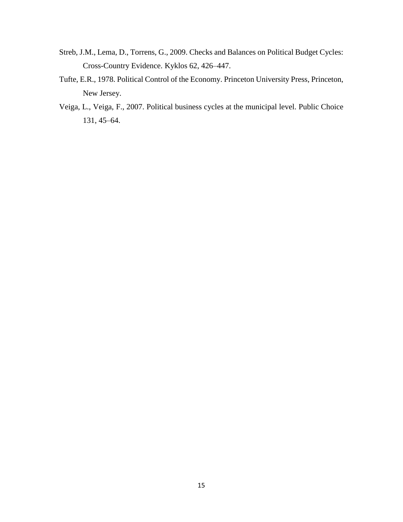- Streb, J.M., Lema, D., Torrens, G., 2009. Checks and Balances on Political Budget Cycles: Cross-Country Evidence. Kyklos 62, 426–447.
- Tufte, E.R., 1978. Political Control of the Economy. Princeton University Press, Princeton, New Jersey.
- Veiga, L., Veiga, F., 2007. Political business cycles at the municipal level. Public Choice 131, 45–64.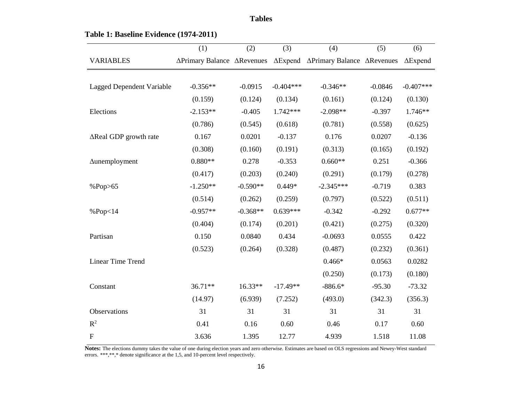|                                  | (1)                                        | (2)        | (3)         | (4)                                                        | (5)       | (6)             |
|----------------------------------|--------------------------------------------|------------|-------------|------------------------------------------------------------|-----------|-----------------|
| <b>VARIABLES</b>                 | $\Delta$ Primary Balance $\Delta$ Revenues |            |             | $\Delta$ Expend $\Delta$ Primary Balance $\Delta$ Revenues |           | $\Delta$ Expend |
|                                  |                                            |            |             |                                                            |           |                 |
| <b>Lagged Dependent Variable</b> | $-0.356**$                                 | $-0.0915$  | $-0.404***$ | $-0.346**$                                                 | $-0.0846$ | $-0.407***$     |
|                                  | (0.159)                                    | (0.124)    | (0.134)     | (0.161)                                                    | (0.124)   | (0.130)         |
| Elections                        | $-2.153**$                                 | $-0.405$   | 1.742***    | $-2.098**$                                                 | $-0.397$  | 1.746**         |
|                                  | (0.786)                                    | (0.545)    | (0.618)     | (0.781)                                                    | (0.558)   | (0.625)         |
| ∆Real GDP growth rate            | 0.167                                      | 0.0201     | $-0.137$    | 0.176                                                      | 0.0207    | $-0.136$        |
|                                  | (0.308)                                    | (0.160)    | (0.191)     | (0.313)                                                    | (0.165)   | (0.192)         |
| <b>Aunemployment</b>             | $0.880**$                                  | 0.278      | $-0.353$    | $0.660**$                                                  | 0.251     | $-0.366$        |
|                                  | (0.417)                                    | (0.203)    | (0.240)     | (0.291)                                                    | (0.179)   | (0.278)         |
| %Pop>65                          | $-1.250**$                                 | $-0.590**$ | $0.449*$    | $-2.345***$                                                | $-0.719$  | 0.383           |
|                                  | (0.514)                                    | (0.262)    | (0.259)     | (0.797)                                                    | (0.522)   | (0.511)         |
| %Pop <sub>14</sub>               | $-0.957**$                                 | $-0.368**$ | $0.639***$  | $-0.342$                                                   | $-0.292$  | $0.677**$       |
|                                  | (0.404)                                    | (0.174)    | (0.201)     | (0.421)                                                    | (0.275)   | (0.320)         |
| Partisan                         | 0.150                                      | 0.0840     | 0.434       | $-0.0693$                                                  | 0.0555    | 0.422           |
|                                  | (0.523)                                    | (0.264)    | (0.328)     | (0.487)                                                    | (0.232)   | (0.361)         |
| Linear Time Trend                |                                            |            |             | $0.466*$                                                   | 0.0563    | 0.0282          |
|                                  |                                            |            |             | (0.250)                                                    | (0.173)   | (0.180)         |
| Constant                         | 36.71**                                    | 16.33**    | $-17.49**$  | $-886.6*$                                                  | $-95.30$  | $-73.32$        |
|                                  | (14.97)                                    | (6.939)    | (7.252)     | (493.0)                                                    | (342.3)   | (356.3)         |
| Observations                     | 31                                         | 31         | 31          | 31                                                         | 31        | 31              |
| $R^2$                            | 0.41                                       | 0.16       | 0.60        | 0.46                                                       | 0.17      | 0.60            |
| ${\bf F}$                        | 3.636                                      | 1.395      | 12.77       | 4.939                                                      | 1.518     | 11.08           |

**Tables** 

## **Table 1: Baseline Evidence (1974-2011)**

Notes: The elections dummy takes the value of one during election years and zero otherwise. Estimates are based on OLS regressions and Newey-West standard errors. \*\*\*,\*\*,\* denote significance at the 1,5, and 10-percent level respectively.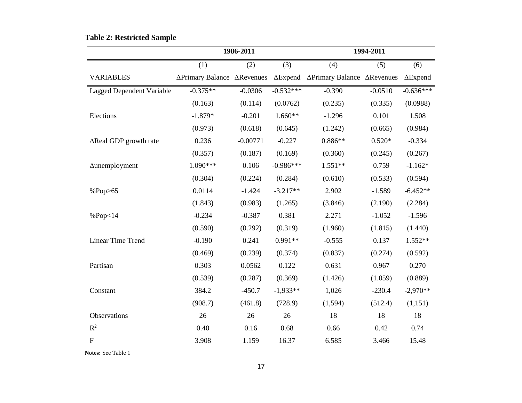|                                  |                            | 1986-2011  |                 |                            | 1994-2011 |                 |  |  |  |
|----------------------------------|----------------------------|------------|-----------------|----------------------------|-----------|-----------------|--|--|--|
|                                  | (1)                        | (2)        | (3)             | (4)                        | (5)       | (6)             |  |  |  |
| <b>VARIABLES</b>                 | ∆Primary Balance ∆Revenues |            | $\Delta$ Expend | ΔPrimary Balance ΔRevenues |           | $\Delta$ Expend |  |  |  |
| <b>Lagged Dependent Variable</b> | $-0.375**$                 | $-0.0306$  | $-0.532***$     | $-0.390$                   | $-0.0510$ | $-0.636***$     |  |  |  |
|                                  | (0.163)                    | (0.114)    | (0.0762)        | (0.235)                    | (0.335)   | (0.0988)        |  |  |  |
| Elections                        | $-1.879*$                  | $-0.201$   | $1.660**$       | $-1.296$                   | 0.101     | 1.508           |  |  |  |
|                                  | (0.973)                    | (0.618)    | (0.645)         | (1.242)                    | (0.665)   | (0.984)         |  |  |  |
| ∆Real GDP growth rate            | 0.236                      | $-0.00771$ | $-0.227$        | $0.886**$                  | $0.520*$  | $-0.334$        |  |  |  |
|                                  | (0.357)                    | (0.187)    | (0.169)         | (0.360)                    | (0.245)   | (0.267)         |  |  |  |
| <b>Aunemployment</b>             | 1.090***                   | 0.106      | $-0.986***$     | $1.551**$                  | 0.759     | $-1.162*$       |  |  |  |
|                                  | (0.304)                    | (0.224)    | (0.284)         | (0.610)                    | (0.533)   | (0.594)         |  |  |  |
| %Pop>65                          | 0.0114                     | $-1.424$   | $-3.217**$      | 2.902                      | $-1.589$  | $-6.452**$      |  |  |  |
|                                  | (1.843)                    | (0.983)    | (1.265)         | (3.846)                    | (2.190)   | (2.284)         |  |  |  |
| % $Pop<14$                       | $-0.234$                   | $-0.387$   | 0.381           | 2.271                      | $-1.052$  | $-1.596$        |  |  |  |
|                                  | (0.590)                    | (0.292)    | (0.319)         | (1.960)                    | (1.815)   | (1.440)         |  |  |  |
| Linear Time Trend                | $-0.190$                   | 0.241      | 0.991**         | $-0.555$                   | 0.137     | $1.552**$       |  |  |  |
|                                  | (0.469)                    | (0.239)    | (0.374)         | (0.837)                    | (0.274)   | (0.592)         |  |  |  |
| Partisan                         | 0.303                      | 0.0562     | 0.122           | 0.631                      | 0.967     | 0.270           |  |  |  |
|                                  | (0.539)                    | (0.287)    | (0.369)         | (1.426)                    | (1.059)   | (0.889)         |  |  |  |
| Constant                         | 384.2                      | $-450.7$   | $-1,933**$      | 1,026                      | $-230.4$  | $-2,970**$      |  |  |  |
|                                  | (908.7)                    | (461.8)    | (728.9)         | (1, 594)                   | (512.4)   | (1, 151)        |  |  |  |
| Observations                     | 26                         | 26         | 26              | 18                         | 18        | 18              |  |  |  |
| $\mathbb{R}^2$                   | 0.40                       | 0.16       | 0.68            | 0.66                       | 0.42      | 0.74            |  |  |  |
| $\boldsymbol{\mathrm{F}}$        | 3.908                      | 1.159      | 16.37           | 6.585                      | 3.466     | 15.48           |  |  |  |

# **Table 2: Restricted Sample**

**Notes:** See Table 1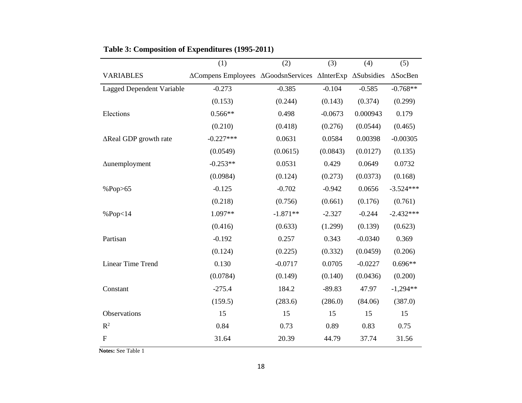|                                  | (1)                                                     | (2)        | (3)       | (4)       | (5)             |
|----------------------------------|---------------------------------------------------------|------------|-----------|-----------|-----------------|
| <b>VARIABLES</b>                 | ΔCompens Employees ΔGoodsnServices ΔInterExp ΔSubsidies |            |           |           | $\Delta$ SocBen |
| <b>Lagged Dependent Variable</b> | $-0.273$                                                | $-0.385$   | $-0.104$  | $-0.585$  | $-0.768**$      |
|                                  | (0.153)                                                 | (0.244)    | (0.143)   | (0.374)   | (0.299)         |
| Elections                        | $0.566**$                                               | 0.498      | $-0.0673$ | 0.000943  | 0.179           |
|                                  | (0.210)                                                 | (0.418)    | (0.276)   | (0.0544)  | (0.465)         |
| ∆Real GDP growth rate            | $-0.227***$                                             | 0.0631     | 0.0584    | 0.00398   | $-0.00305$      |
|                                  | (0.0549)                                                | (0.0615)   | (0.0843)  | (0.0127)  | (0.135)         |
| <b>Aunemployment</b>             | $-0.253**$                                              | 0.0531     | 0.429     | 0.0649    | 0.0732          |
|                                  | (0.0984)                                                | (0.124)    | (0.273)   | (0.0373)  | (0.168)         |
| %Pop>65                          | $-0.125$                                                | $-0.702$   | $-0.942$  | 0.0656    | $-3.524***$     |
|                                  | (0.218)                                                 | (0.756)    | (0.661)   | (0.176)   | (0.761)         |
| %Pop <sub>14</sub>               | 1.097**                                                 | $-1.871**$ | $-2.327$  | $-0.244$  | $-2.432***$     |
|                                  | (0.416)                                                 | (0.633)    | (1.299)   | (0.139)   | (0.623)         |
| Partisan                         | $-0.192$                                                | 0.257      | 0.343     | $-0.0340$ | 0.369           |
|                                  | (0.124)                                                 | (0.225)    | (0.332)   | (0.0459)  | (0.206)         |
| Linear Time Trend                | 0.130                                                   | $-0.0717$  | 0.0705    | $-0.0227$ | $0.696**$       |
|                                  | (0.0784)                                                | (0.149)    | (0.140)   | (0.0436)  | (0.200)         |
| Constant                         | $-275.4$                                                | 184.2      | $-89.83$  | 47.97     | $-1,294**$      |
|                                  | (159.5)                                                 | (283.6)    | (286.0)   | (84.06)   | (387.0)         |
| Observations                     | 15                                                      | 15         | 15        | 15        | 15              |
| $R^2$                            | 0.84                                                    | 0.73       | 0.89      | 0.83      | 0.75            |
| $\mathbf{F}$                     | 31.64                                                   | 20.39      | 44.79     | 37.74     | 31.56           |

# **Table 3: Composition of Expenditures (1995-2011)**

**Notes:** See Table 1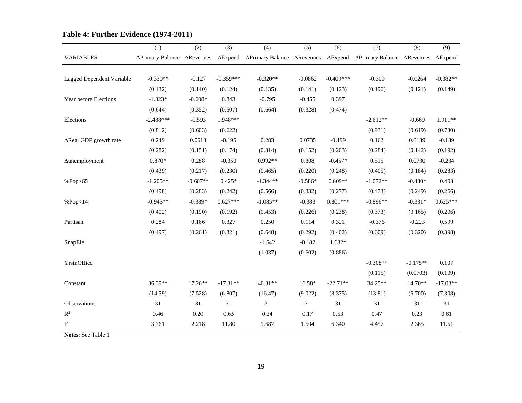|                           | (1)                                        | (2)        | (3)             | (4)                        | (5)       | (6)             | (7)                                        | (8)        | (9)             |
|---------------------------|--------------------------------------------|------------|-----------------|----------------------------|-----------|-----------------|--------------------------------------------|------------|-----------------|
| <b>VARIABLES</b>          | $\Delta$ Primary Balance $\Delta$ Revenues |            | $\Delta$ Expend | ∆Primary Balance ∆Revenues |           | $\Delta$ Expend | $\Delta$ Primary Balance $\Delta$ Revenues |            | $\Delta$ Expend |
|                           |                                            |            |                 |                            |           |                 |                                            |            |                 |
| Lagged Dependent Variable | $-0.330**$                                 | $-0.127$   | $-0.359***$     | $-0.320**$                 | $-0.0862$ | $-0.409***$     | $-0.300$                                   | $-0.0264$  | $-0.382**$      |
|                           | (0.132)                                    | (0.140)    | (0.124)         | (0.135)                    | (0.141)   | (0.123)         | (0.196)                                    | (0.121)    | (0.149)         |
| Year before Elections     | $-1.323*$                                  | $-0.608*$  | 0.843           | $-0.795$                   | $-0.455$  | 0.397           |                                            |            |                 |
|                           | (0.644)                                    | (0.352)    | (0.507)         | (0.664)                    | (0.328)   | (0.474)         |                                            |            |                 |
| Elections                 | $-2.488***$                                | $-0.593$   | 1.948***        |                            |           |                 | $-2.612**$                                 | $-0.669$   | 1.911**         |
|                           | (0.812)                                    | (0.603)    | (0.622)         |                            |           |                 | (0.931)                                    | (0.619)    | (0.730)         |
| ∆Real GDP growth rate     | 0.249                                      | 0.0613     | $-0.195$        | 0.283                      | 0.0735    | $-0.199$        | 0.162                                      | 0.0139     | $-0.139$        |
|                           | (0.282)                                    | (0.151)    | (0.174)         | (0.314)                    | (0.152)   | (0.203)         | (0.284)                                    | (0.142)    | (0.192)         |
| $\Delta$ unemployment     | 0.870*                                     | 0.288      | $-0.350$        | 0.992**                    | 0.308     | $-0.457*$       | 0.515                                      | 0.0730     | $-0.234$        |
|                           | (0.439)                                    | (0.217)    | (0.230)         | (0.465)                    | (0.220)   | (0.248)         | (0.405)                                    | (0.184)    | (0.283)         |
| %Pop>65                   | $-1.205**$                                 | $-0.607**$ | $0.425*$        | $-1.344**$                 | $-0.586*$ | $0.609**$       | $-1.072**$                                 | $-0.480*$  | 0.403           |
|                           | (0.498)                                    | (0.283)    | (0.242)         | (0.566)                    | (0.332)   | (0.277)         | (0.473)                                    | (0.249)    | (0.266)         |
| %Pop <sub>14</sub>        | $-0.945**$                                 | $-0.389*$  | $0.627***$      | $-1.085**$                 | $-0.383$  | $0.801***$      | $-0.896**$                                 | $-0.331*$  | $0.625***$      |
|                           | (0.402)                                    | (0.190)    | (0.192)         | (0.453)                    | (0.226)   | (0.238)         | (0.373)                                    | (0.165)    | (0.206)         |
| Partisan                  | 0.284                                      | 0.166      | 0.327           | 0.250                      | 0.114     | 0.321           | $-0.376$                                   | $-0.223$   | 0.599           |
|                           | (0.497)                                    | (0.261)    | (0.321)         | (0.648)                    | (0.292)   | (0.402)         | (0.609)                                    | (0.320)    | (0.398)         |
| SnapEle                   |                                            |            |                 | $-1.642$                   | $-0.182$  | $1.632*$        |                                            |            |                 |
|                           |                                            |            |                 | (1.037)                    | (0.602)   | (0.886)         |                                            |            |                 |
| YrsinOffice               |                                            |            |                 |                            |           |                 | $-0.308**$                                 | $-0.175**$ | 0.107           |
|                           |                                            |            |                 |                            |           |                 | (0.115)                                    | (0.0703)   | (0.109)         |
| Constant                  | 36.39**                                    | $17.26**$  | $-17.31**$      | 40.31**                    | 16.58*    | $-22.71**$      | 34.25**                                    | $14.70**$  | $-17.03**$      |
|                           | (14.59)                                    | (7.528)    | (6.807)         | (16.47)                    | (9.022)   | (8.375)         | (13.81)                                    | (6.700)    | (7.308)         |
| Observations              | 31                                         | 31         | 31              | 31                         | 31        | 31              | 31                                         | 31         | 31              |
| $\mathbb{R}^2$            | 0.46                                       | 0.20       | 0.63            | 0.34                       | 0.17      | 0.53            | 0.47                                       | 0.23       | 0.61            |
| $\boldsymbol{\mathrm{F}}$ | 3.761                                      | 2.218      | 11.80           | 1.687                      | 1.504     | 6.340           | 4.457                                      | 2.365      | 11.51           |

# **Table 4: Further Evidence (1974-2011)**

**Notes**: See Table 1